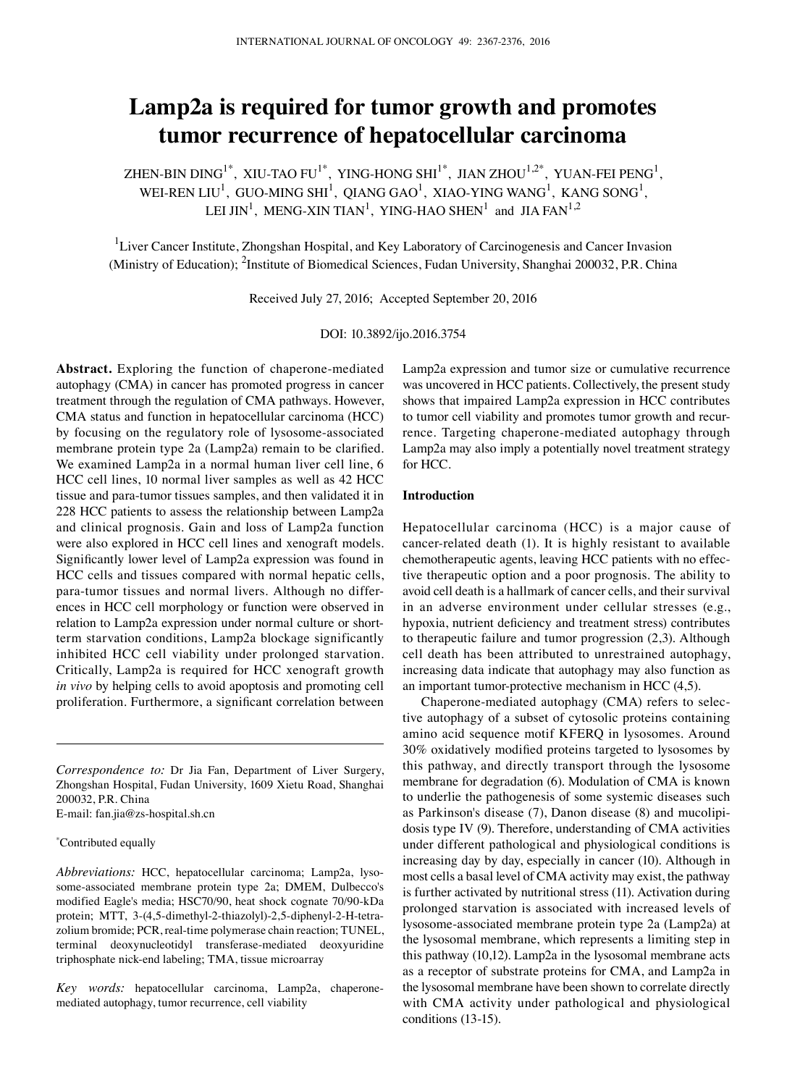# **Lamp2a is required for tumor growth and promotes tumor recurrence of hepatocellular carcinoma**

ZHEN-BIN DING $^{1^\ast}$ , XIU-TAO FU $^{1^\ast}$ , YING-HONG SHI $^{1^\ast}$ , JIAN ZHOU $^{1,2^\ast}$ , YUAN-FEI PENG $^{1}$ , WEI-REN LIU $^{\rm l}$ , GUO-MING SHI $^{\rm l}$ , QIANG GAO $^{\rm l}$ , XIAO-YING WANG $^{\rm l}$ , KANG SONG $^{\rm l}$ , LEI JIN<sup>1</sup>, MENG-XIN TIAN<sup>1</sup>, YING-HAO SHEN<sup>1</sup> and JIA FAN<sup>1,2</sup>

<sup>1</sup>Liver Cancer Institute, Zhongshan Hospital, and Key Laboratory of Carcinogenesis and Cancer Invasion (Ministry of Education); <sup>2</sup>Institute of Biomedical Sciences, Fudan University, Shanghai 200032, P.R. China

Received July 27, 2016; Accepted September 20, 2016

DOI: 10.3892/ijo.2016.3754

**Abstract.** Exploring the function of chaperone-mediated autophagy (CMA) in cancer has promoted progress in cancer treatment through the regulation of CMA pathways. However, CMA status and function in hepatocellular carcinoma (HCC) by focusing on the regulatory role of lysosome-associated membrane protein type 2a (Lamp2a) remain to be clarified. We examined Lamp2a in a normal human liver cell line, 6 HCC cell lines, 10 normal liver samples as well as 42 HCC tissue and para-tumor tissues samples, and then validated it in 228 HCC patients to assess the relationship between Lamp2a and clinical prognosis. Gain and loss of Lamp2a function were also explored in HCC cell lines and xenograft models. Significantly lower level of Lamp2a expression was found in HCC cells and tissues compared with normal hepatic cells, para-tumor tissues and normal livers. Although no differences in HCC cell morphology or function were observed in relation to Lamp2a expression under normal culture or shortterm starvation conditions, Lamp2a blockage significantly inhibited HCC cell viability under prolonged starvation. Critically, Lamp2a is required for HCC xenograft growth *in vivo* by helping cells to avoid apoptosis and promoting cell proliferation. Furthermore, a significant correlation between

*Correspondence to:* Dr Jia Fan, Department of Liver Surgery, Zhongshan Hospital, Fudan University, 1609 Xietu Road, Shanghai 200032, P.R. China E-mail: fan.jia@zs-hospital.sh.cn

\* contributed equally

*Abbreviations:* HCC, hepatocellular carcinoma; Lamp2a, lysosome-associated membrane protein type 2a; DMEM, Dulbecco's modified Eagle's media; HSC70/90, heat shock cognate 70/90-kDa protein; MTT, 3-(4,5-dimethyl-2-thiazolyl)-2,5-diphenyl-2-H-tetrazolium bromide; PCR, real-time polymerase chain reaction; TUNEL, terminal deoxynucleotidyl transferase-mediated deoxyuridine triphosphate nick-end labeling; TMA, tissue microarray

*Key words:* hepatocellular carcinoma, Lamp2a, chaperonemediated autophagy, tumor recurrence, cell viability

Lamp2a expression and tumor size or cumulative recurrence was uncovered in HCC patients. Collectively, the present study shows that impaired Lamp2a expression in HCC contributes to tumor cell viability and promotes tumor growth and recurrence. Targeting chaperone-mediated autophagy through Lamp2a may also imply a potentially novel treatment strategy for HCC.

## **Introduction**

Hepatocellular carcinoma (HCC) is a major cause of cancer-related death (1). It is highly resistant to available chemotherapeutic agents, leaving HCC patients with no effective therapeutic option and a poor prognosis. The ability to avoid cell death is a hallmark of cancer cells, and their survival in an adverse environment under cellular stresses (e.g., hypoxia, nutrient deficiency and treatment stress) contributes to therapeutic failure and tumor progression (2,3). Although cell death has been attributed to unrestrained autophagy, increasing data indicate that autophagy may also function as an important tumor-protective mechanism in HCC (4,5).

Chaperone-mediated autophagy (CMA) refers to selective autophagy of a subset of cytosolic proteins containing amino acid sequence motif KFERQ in lysosomes. Around 30% oxidatively modified proteins targeted to lysosomes by this pathway, and directly transport through the lysosome membrane for degradation (6). Modulation of CMA is known to underlie the pathogenesis of some systemic diseases such as Parkinson's disease (7), Danon disease (8) and mucolipidosis type IV (9). Therefore, understanding of CMA activities under different pathological and physiological conditions is increasing day by day, especially in cancer (10). Although in most cells a basal level of CMA activity may exist, the pathway is further activated by nutritional stress (11). Activation during prolonged starvation is associated with increased levels of lysosome-associated membrane protein type 2a (Lamp2a) at the lysosomal membrane, which represents a limiting step in this pathway (10,12). Lamp2a in the lysosomal membrane acts as a receptor of substrate proteins for CMA, and Lamp2a in the lysosomal membrane have been shown to correlate directly with CMA activity under pathological and physiological conditions (13-15).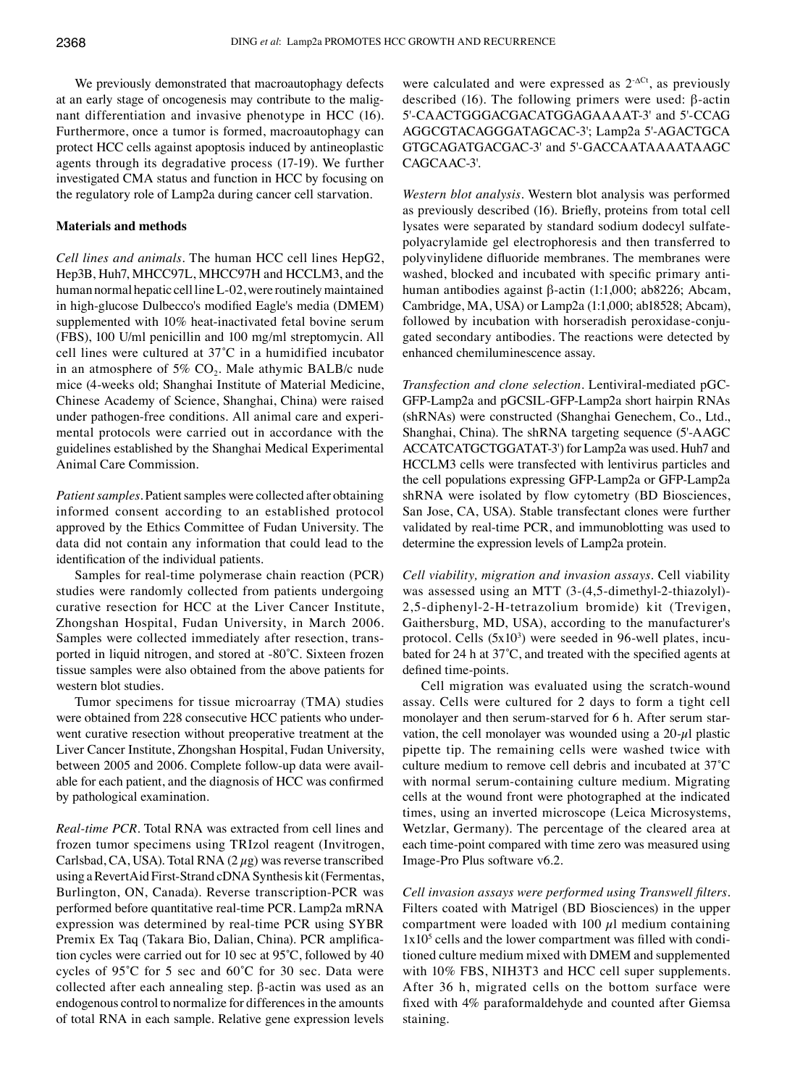We previously demonstrated that macroautophagy defects at an early stage of oncogenesis may contribute to the malignant differentiation and invasive phenotype in HCC (16). Furthermore, once a tumor is formed, macroautophagy can protect HCC cells against apoptosis induced by antineoplastic agents through its degradative process (17-19). We further investigated CMA status and function in HCC by focusing on the regulatory role of Lamp2a during cancer cell starvation.

# **Materials and methods**

*Cell lines and animals.* The human HCC cell lines HepG2, Hep3B, Huh7, MHCC97L, MHCC97H and HCCLM3, and the human normal hepatic cell line L-02, were routinely maintained in high-glucose Dulbecco's modified Eagle's media (DMEM) supplemented with 10% heat-inactivated fetal bovine serum (fbs), 100 U/ml penicillin and 100 mg/ml streptomycin. All cell lines were cultured at 37˚C in a humidified incubator in an atmosphere of 5%  $CO<sub>2</sub>$ . Male athymic BALB/c nude mice (4-weeks old; Shanghai Institute of Material Medicine, Chinese Academy of Science, Shanghai, china) were raised under pathogen-free conditions. All animal care and experimental protocols were carried out in accordance with the guidelines established by the Shanghai Medical Experimental Animal Care Commission.

*Patient samples.* Patient samples were collected after obtaining informed consent according to an established protocol approved by the Ethics Committee of Fudan University. The data did not contain any information that could lead to the identification of the individual patients.

Samples for real-time polymerase chain reaction (PCR) studies were randomly collected from patients undergoing curative resection for HCC at the Liver Cancer Institute, Zhongshan Hospital, Fudan University, in March 2006. Samples were collected immediately after resection, transported in liquid nitrogen, and stored at -80°C. Sixteen frozen tissue samples were also obtained from the above patients for western blot studies.

Tumor specimens for tissue microarray (TMA) studies were obtained from 228 consecutive HCC patients who underwent curative resection without preoperative treatment at the Liver Cancer Institute, Zhongshan Hospital, Fudan University, between 2005 and 2006. Complete follow-up data were available for each patient, and the diagnosis of HCC was confirmed by pathological examination.

*Real-time PCR.* Total RNA was extracted from cell lines and frozen tumor specimens using TRIzol reagent (Invitrogen, Carlsbad, CA, USA). Total RNA  $(2 \mu g)$  was reverse transcribed using a RevertAid First-Strand cDNA Synthesis kit (Fermentas, Burlington, ON, Canada). Reverse transcription-PCR was performed before quantitative real-time PCR. Lamp2a mRNA expression was determined by real-time PCR using SYBR Premix Ex Taq (Takara Bio, Dalian, China). PCR amplification cycles were carried out for 10 sec at 95˚C, followed by 40 cycles of 95˚C for 5 sec and 60˚C for 30 sec. Data were collected after each annealing step. β-actin was used as an endogenous control to normalize for differences in the amounts of total RNA in each sample. Relative gene expression levels were calculated and were expressed as  $2^{-\Delta Ct}$ , as previously described (16). The following primers were used: β-actin 5'-CAACTGGGACGACATGGAGAAAAT-3' and 5'-CCAG AGGCGTACAGGGATAGCAC-3'; Lamp2a 5'-AGACTGCA GTGCAGATGACGAC-3' and 5'-GACCAATAAAATAAGC CAGCAAC-3'.

*Western blot analysis.* Western blot analysis was performed as previously described (16). Briefly, proteins from total cell lysates were separated by standard sodium dodecyl sulfatepolyacrylamide gel electrophoresis and then transferred to polyvinylidene difluoride membranes. The membranes were washed, blocked and incubated with specific primary antihuman antibodies against β-actin (1:1,000; ab8226; Abcam, Cambridge, MA, USA) or Lamp2a (1:1,000; ab18528; Abcam), followed by incubation with horseradish peroxidase-conjugated secondary antibodies. The reactions were detected by enhanced chemiluminescence assay.

*Transfection and clone selection.* Lentiviral-mediated pGC-GFP-Lamp2a and pGCSIL-GFP-Lamp2a short hairpin RNAs (shRNAs) were constructed (Shanghai Genechem, Co., Ltd., Shanghai, China). The shRNA targeting sequence (5'-AAGC ACCATCATGCTGGATAT-3') for Lamp2a was used. Huh7 and HCCLM3 cells were transfected with lentivirus particles and the cell populations expressing GFP-Lamp2a or GFP-Lamp2a shRNA were isolated by flow cytometry (BD Biosciences, San Jose, CA, USA). Stable transfectant clones were further validated by real-time PCR, and immunoblotting was used to determine the expression levels of Lamp2a protein.

*Cell viability, migration and invasion assays.* Cell viability was assessed using an MTT (3-(4,5-dimethyl-2-thiazolyl)- 2,5-diphenyl-2-H-tetrazolium bromide) kit (Trevigen, Gaithersburg, MD, USA), according to the manufacturer's protocol. Cells  $(5x10<sup>3</sup>)$  were seeded in 96-well plates, incubated for 24 h at 37˚C, and treated with the specified agents at defined time-points.

Cell migration was evaluated using the scratch-wound assay. Cells were cultured for 2 days to form a tight cell monolayer and then serum-starved for 6 h. After serum starvation, the cell monolayer was wounded using a  $20-\mu l$  plastic pipette tip. The remaining cells were washed twice with culture medium to remove cell debris and incubated at 37˚C with normal serum-containing culture medium. Migrating cells at the wound front were photographed at the indicated times, using an inverted microscope (Leica Microsystems, Wetzlar, Germany). The percentage of the cleared area at each time-point compared with time zero was measured using Image-Pro Plus software v6.2.

*Cell invasion assays were performed using Transwell filters.*  Filters coated with Matrigel (BD Biosciences) in the upper compartment were loaded with 100  $\mu$ l medium containing  $1x10<sup>5</sup>$  cells and the lower compartment was filled with conditioned culture medium mixed with DMEM and supplemented with 10% FBS, NIH3T3 and HCC cell super supplements. After 36 h, migrated cells on the bottom surface were fixed with 4% paraformaldehyde and counted after Giemsa staining.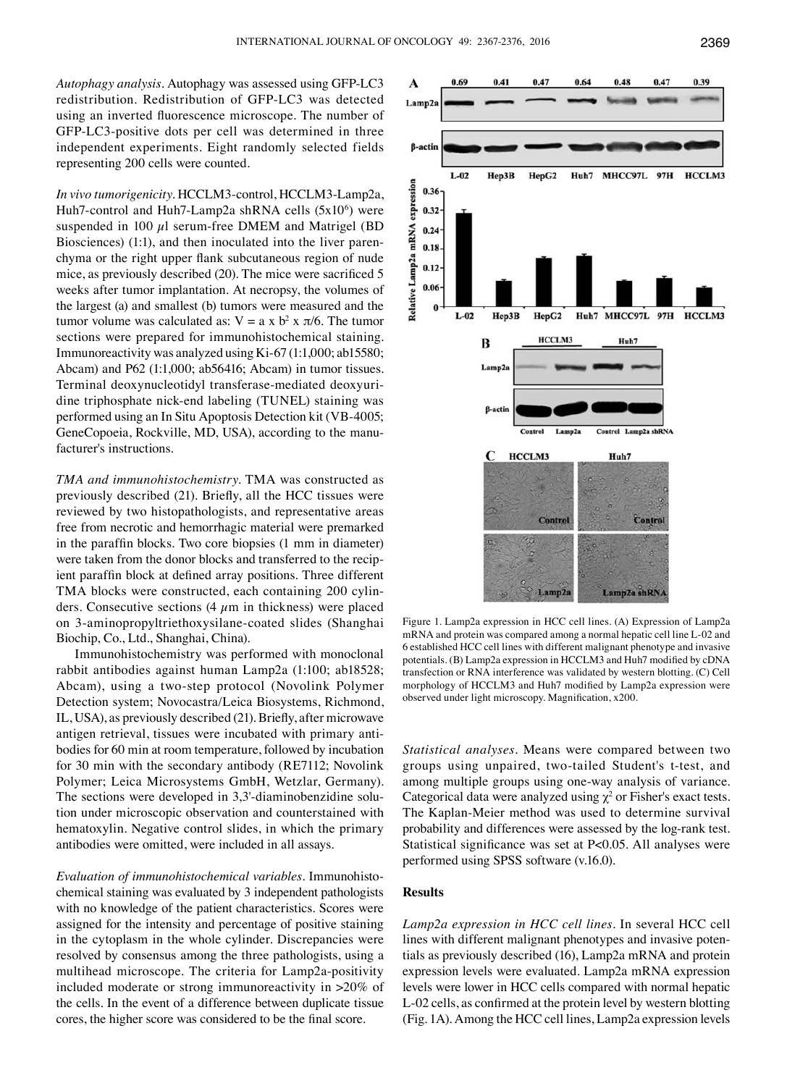*Autophagy analysis.* Autophagy was assessed using GFP-LC3 redistribution. Redistribution of GFP-LC3 was detected using an inverted fluorescence microscope. The number of GFP-LC3-positive dots per cell was determined in three independent experiments. Eight randomly selected fields representing 200 cells were counted.

*In vivo tumorigenicity.* HCCLM3-control, HCCLM3-Lamp2a, Huh7-control and Huh7-Lamp2a shRNA cells  $(5x10<sup>6</sup>)$  were suspended in 100  $\mu$ l serum-free DMEM and Matrigel (BD Biosciences) (1:1), and then inoculated into the liver parenchyma or the right upper flank subcutaneous region of nude mice, as previously described (20). The mice were sacrificed 5 weeks after tumor implantation. At necropsy, the volumes of the largest (a) and smallest (b) tumors were measured and the tumor volume was calculated as:  $V = a \times b^2 \times \pi/6$ . The tumor sections were prepared for immunohistochemical staining. Immunoreactivity was analyzed using Ki-67 (1:1,000; ab15580; Abcam) and P62 (1:1,000; ab56416; Abcam) in tumor tissues. Terminal deoxynucleotidyl transferase-mediated deoxyuridine triphosphate nick-end labeling (TUNEL) staining was performed using an In Situ Apoptosis Detection kit (VB-4005; GeneCopoeia, Rockville, MD, USA), according to the manufacturer's instructions.

*TMA and immunohistochemistry.* TMA was constructed as previously described (21). Briefly, all the HCC tissues were reviewed by two histopathologists, and representative areas free from necrotic and hemorrhagic material were premarked in the paraffin blocks. Two core biopsies (1 mm in diameter) were taken from the donor blocks and transferred to the recipient paraffin block at defined array positions. Three different TMA blocks were constructed, each containing 200 cylinders. Consecutive sections  $(4 \mu m)$  in thickness) were placed on 3-aminopropyltriethoxysilane-coated slides (Shanghai Biochip, Co., Ltd., Shanghai, China).

Immunohistochemistry was performed with monoclonal rabbit antibodies against human Lamp2a (1:100; ab18528; Abcam), using a two-step protocol (Novolink Polymer Detection system; Novocastra/Leica Biosystems, Richmond, IL, USA), as previously described (21). Briefly, after microwave antigen retrieval, tissues were incubated with primary antibodies for 60 min at room temperature, followed by incubation for 30 min with the secondary antibody (RE7112; Novolink Polymer; Leica Microsystems GmbH, Wetzlar, Germany). The sections were developed in 3,3'-diaminobenzidine solution under microscopic observation and counterstained with hematoxylin. Negative control slides, in which the primary antibodies were omitted, were included in all assays.

*Evaluation of immunohistochemical variables.* Immunohistochemical staining was evaluated by 3 independent pathologists with no knowledge of the patient characteristics. Scores were assigned for the intensity and percentage of positive staining in the cytoplasm in the whole cylinder. Discrepancies were resolved by consensus among the three pathologists, using a multihead microscope. The criteria for Lamp2a-positivity included moderate or strong immunoreactivity in >20% of the cells. In the event of a difference between duplicate tissue cores, the higher score was considered to be the final score.



Figure 1. Lamp2a expression in HCC cell lines. (A) Expression of Lamp2a mRNA and protein was compared among a normal hepatic cell line L-02 and 6 established HCC cell lines with different malignant phenotype and invasive potentials. (B) Lamp2a expression in HCCLM3 and Huh7 modified by cDNA transfection or RNA interference was validated by western blotting. (C) Cell morphology of HCCLM3 and Huh7 modified by Lamp2a expression were observed under light microscopy. Magnification, x200.

*Statistical analyses.* Means were compared between two groups using unpaired, two-tailed Student's t-test, and among multiple groups using one-way analysis of variance. Categorical data were analyzed using  $\chi^2$  or Fisher's exact tests. The Kaplan-Meier method was used to determine survival probability and differences were assessed by the log-rank test. Statistical significance was set at P<0.05. All analyses were performed using SPSS software (v.16.0).

#### **Results**

*Lamp2a expression in HCC cell lines.* In several HCC cell lines with different malignant phenotypes and invasive potentials as previously described (16), Lamp2a mRNA and protein expression levels were evaluated. Lamp2a mRNA expression levels were lower in HCC cells compared with normal hepatic L-02 cells, as confirmed at the protein level by western blotting (Fig. 1A). Among the HCC cell lines, Lamp2a expression levels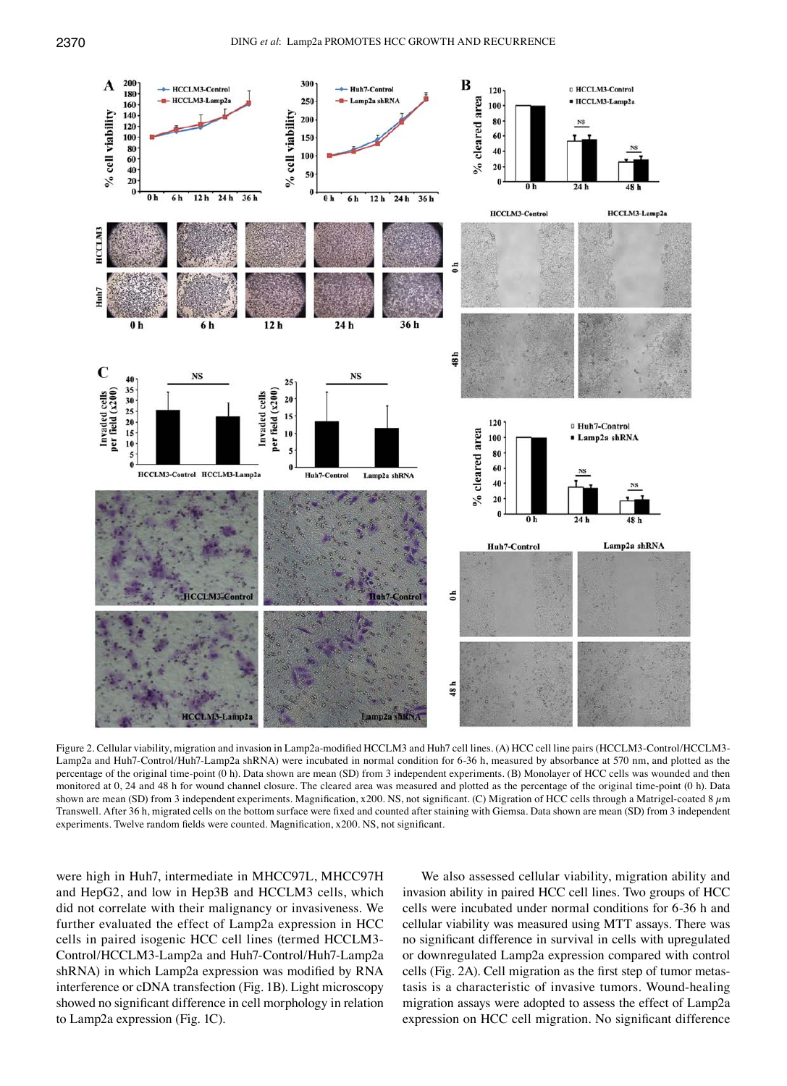

Figure 2. Cellular viability, migration and invasion in Lamp2a-modified HCCLM3 and Huh7 cell lines. (A) HCC cell line pairs (HCCLM3-Control/HCCLM3- Lamp2a and Huh7-Control/Huh7-Lamp2a shRNA) were incubated in normal condition for 6-36 h, measured by absorbance at 570 nm, and plotted as the percentage of the original time-point (0 h). Data shown are mean (SD) from 3 independent experiments. (B) Monolayer of HCC cells was wounded and then monitored at 0, 24 and 48 h for wound channel closure. The cleared area was measured and plotted as the percentage of the original time-point (0 h). Data shown are mean (SD) from 3 independent experiments. Magnification, x200. NS, not significant. (C) Migration of HCC cells through a Matrigel-coated 8  $\mu$ m transwell. After 36 h, migrated cells on the bottom surface were fixed and counted after staining with Giemsa. Data shown are mean (SD) from 3 independent experiments. Twelve random fields were counted. Magnification, x200. NS, not significant.

were high in Huh7, intermediate in MHCC97L, MHCC97H and HepG2, and low in Hep3B and HCCLM3 cells, which did not correlate with their malignancy or invasiveness. We further evaluated the effect of Lamp2a expression in HCC cells in paired isogenic HCC cell lines (termed HCCLM3- Control/HCCLM3-Lamp2a and Huh7-Control/Huh7-Lamp2a shRNA) in which Lamp2a expression was modified by RNA interference or cDNA transfection (Fig. 1B). Light microscopy showed no significant difference in cell morphology in relation to Lamp2a expression (Fig. 1C).

We also assessed cellular viability, migration ability and invasion ability in paired HCC cell lines. Two groups of HCC cells were incubated under normal conditions for 6-36 h and cellular viability was measured using MTT assays. There was no significant difference in survival in cells with upregulated or downregulated Lamp2a expression compared with control cells (Fig. 2A). Cell migration as the first step of tumor metastasis is a characteristic of invasive tumors. Wound-healing migration assays were adopted to assess the effect of Lamp2a expression on HCC cell migration. No significant difference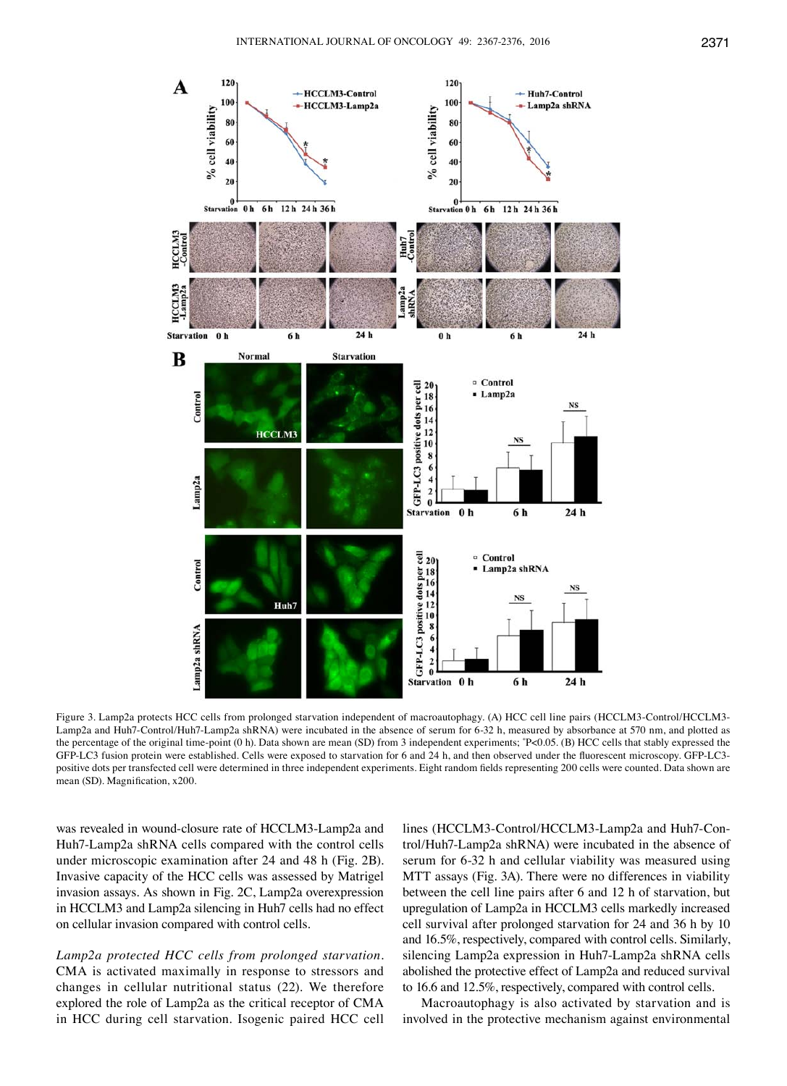

Figure 3. Lamp2a protects HCC cells from prolonged starvation independent of macroautophagy. (A) HCC cell line pairs (HCCLM3-Control/HCCLM3- Lamp2a and Huh7-Control/Huh7-Lamp2a shRNA) were incubated in the absence of serum for 6-32 h, measured by absorbance at 570 nm, and plotted as the percentage of the original time-point (0 h). Data shown are mean (SD) from 3 independent experiments;  $P<0.05$ . (B) HCC cells that stably expressed the GFP-LC3 fusion protein were established. Cells were exposed to starvation for 6 and 24 h, and then observed under the fluorescent microscopy. GFP-LC3 positive dots per transfected cell were determined in three independent experiments. Eight random fields representing 200 cells were counted. Data shown are mean (SD). Magnification, x200.

was revealed in wound-closure rate of HCCLM3-Lamp2a and Huh7-Lamp2a shRNA cells compared with the control cells under microscopic examination after 24 and 48 h (Fig. 2B). Invasive capacity of the HCC cells was assessed by Matrigel invasion assays. As shown in Fig. 2C, Lamp2a overexpression in HCCLM3 and Lamp2a silencing in Huh7 cells had no effect on cellular invasion compared with control cells.

*Lamp2a protected HCC cells from prolonged starvation.*  CMA is activated maximally in response to stressors and changes in cellular nutritional status (22). We therefore explored the role of Lamp2a as the critical receptor of CMA in HCC during cell starvation. Isogenic paired HCC cell lines (HCCLM3-Control/HCCLM3-Lamp2a and Huh7-Control/Huh7-Lamp2a shRNA) were incubated in the absence of serum for 6-32 h and cellular viability was measured using MTT assays (Fig. 3A). There were no differences in viability between the cell line pairs after 6 and 12 h of starvation, but upregulation of Lamp2a in HCCLM3 cells markedly increased cell survival after prolonged starvation for 24 and 36 h by 10 and 16.5%, respectively, compared with control cells. Similarly, silencing Lamp2a expression in Huh7-Lamp2a shRNA cells abolished the protective effect of Lamp2a and reduced survival to 16.6 and 12.5%, respectively, compared with control cells.

Macroautophagy is also activated by starvation and is involved in the protective mechanism against environmental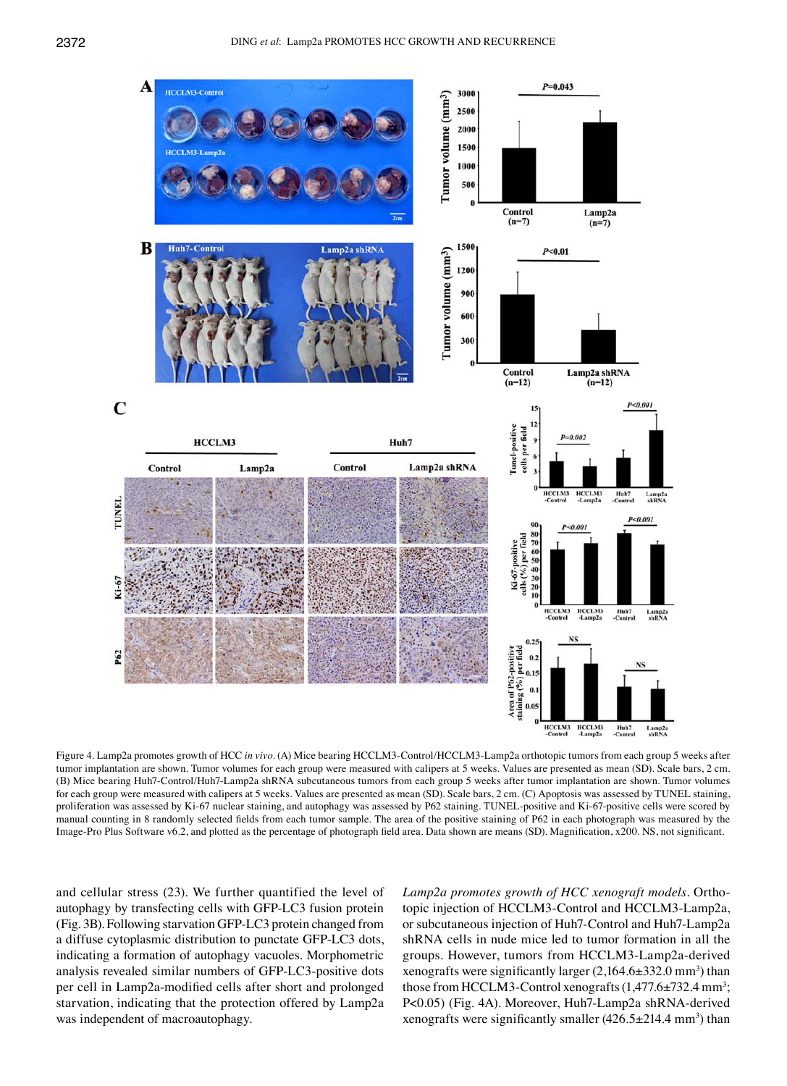

Figure 4. Lamp2a promotes growth of HCC *in vivo*. (A) Mice bearing HCCLM3-Control/HCCLM3-Lamp2a orthotopic tumors from each group 5 weeks after tumor implantation are shown. Tumor volumes for each group were measured with calipers at 5 weeks. Values are presented as mean (SD). Scale bars, 2 cm. (B) Mice bearing Huh7-Control/Huh7-Lamp2a shRNA subcutaneous tumors from each group 5 weeks after tumor implantation are shown. Tumor volumes for each group were measured with calipers at 5 weeks. Values are presented as mean (SD). Scale bars, 2 cm. (C) Apoptosis was assessed by TUNEL staining, proliferation was assessed by Ki-67 nuclear staining, and autophagy was assessed by P62 staining. TUNEL-positive and Ki-67-positive cells were scored by manual counting in 8 randomly selected fields from each tumor sample. The area of the positive staining of P62 in each photograph was measured by the Image-Pro Plus Software v6.2, and plotted as the percentage of photograph field area. Data shown are means (SD). Magnification, x200. NS, not significant.

and cellular stress (23). We further quantified the level of autophagy by transfecting cells with GFP-LC3 fusion protein (Fig. 3B). Following starvation GFP-LC3 protein changed from a diffuse cytoplasmic distribution to punctate GFP-LC3 dots, indicating a formation of autophagy vacuoles. Morphometric analysis revealed similar numbers of GFP-LC3-positive dots per cell in Lamp2a-modified cells after short and prolonged starvation, indicating that the protection offered by Lamp2a was independent of macroautophagy.

*Lamp2a promotes growth of HCC xenograft models.* Orthotopic injection of HCCLM3-Control and HCCLM3-Lamp2a, or subcutaneous injection of Huh7-Control and Huh7-Lamp2a shRNA cells in nude mice led to tumor formation in all the groups. However, tumors from HCCLM3-Lamp2a-derived xenografts were significantly larger  $(2,164.6\pm332.0 \text{ mm}^3)$  than those from HCCLM3-Control xenografts  $(1,477.6 \pm 732.4 \text{ mm}^3)$ ; P<0.05) (Fig. 4A). Moreover, Huh7-Lamp2a shRNA-derived xenografts were significantly smaller  $(426.5 \pm 214.4 \text{ mm}^3)$  than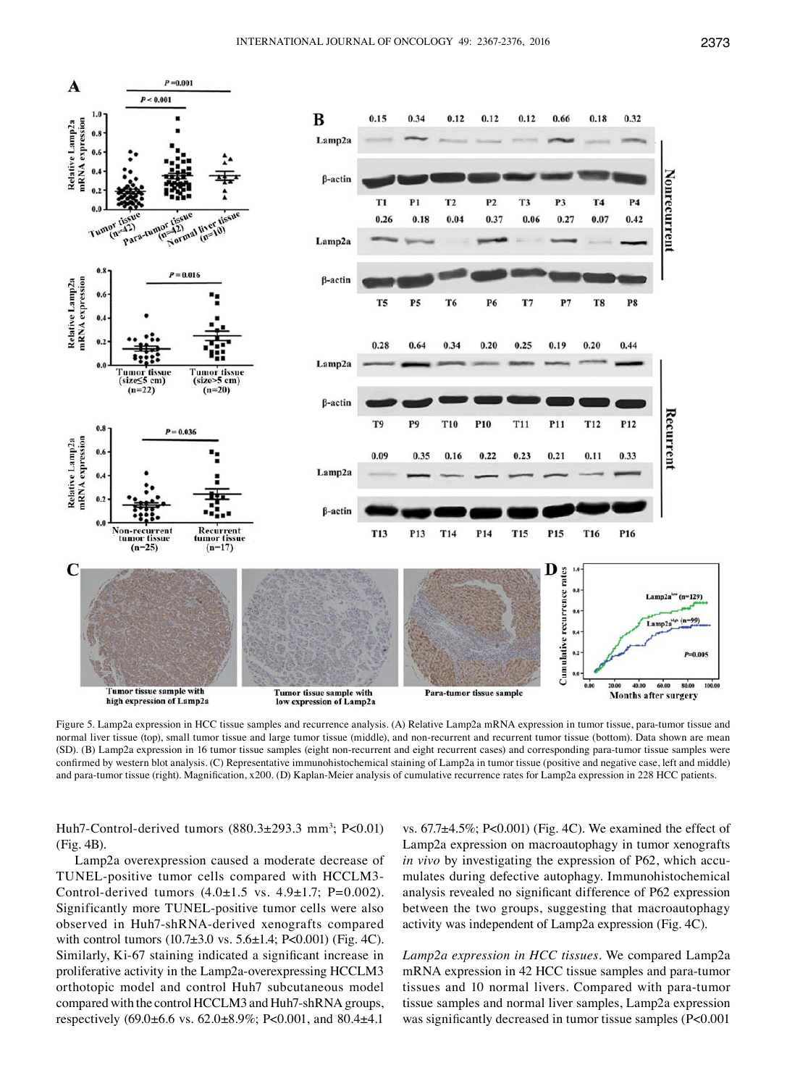

Figure 5. Lamp2a expression in HCC tissue samples and recurrence analysis. (A) Relative Lamp2a mRNA expression in tumor tissue, para-tumor tissue and normal liver tissue (top), small tumor tissue and large tumor tissue (middle), and non-recurrent and recurrent tumor tissue (bottom). Data shown are mean (SD). (B) Lamp2a expression in 16 tumor tissue samples (eight non-recurrent and eight recurrent cases) and corresponding para-tumor tissue samples were confirmed by western blot analysis. (C) Representative immunohistochemical staining of Lamp2a in tumor tissue (positive and negative case, left and middle) and para-tumor tissue (right). Magnification, x200. (D) Kaplan-Meier analysis of cumulative recurrence rates for Lamp2a expression in 228 HCC patients.

Huh7-Control-derived tumors  $(880.3 \pm 293.3 \text{ mm}^3; P<0.01)$ (Fig. 4B).

Lamp2a overexpression caused a moderate decrease of TUNEL-positive tumor cells compared with HCCLM3- Control-derived tumors  $(4.0 \pm 1.5 \text{ vs. } 4.9 \pm 1.7; \text{ P=0.002}).$ Significantly more TUNEL-positive tumor cells were also observed in Huh7-shRNA-derived xenografts compared with control tumors (10.7±3.0 vs. 5.6±1.4; P<0.001) (Fig. 4C). Similarly, Ki-67 staining indicated a significant increase in proliferative activity in the Lamp2a-overexpressing HCCLM3 orthotopic model and control Huh7 subcutaneous model compared with the control HCCLM3 and Huh7-shRNA groups, respectively (69.0±6.6 vs. 62.0±8.9%; P<0.001, and 80.4±4.1

vs. 67.7±4.5%; P<0.001) (Fig. 4C). We examined the effect of Lamp2a expression on macroautophagy in tumor xenografts *in vivo* by investigating the expression of P62, which accumulates during defective autophagy. Immunohistochemical analysis revealed no significant difference of P62 expression between the two groups, suggesting that macroautophagy activity was independent of Lamp2a expression (Fig. 4C).

*Lamp2a expression in HCC tissues.* We compared Lamp2a mRNA expression in 42 HCC tissue samples and para-tumor tissues and 10 normal livers. Compared with para-tumor tissue samples and normal liver samples, Lamp2a expression was significantly decreased in tumor tissue samples (P<0.001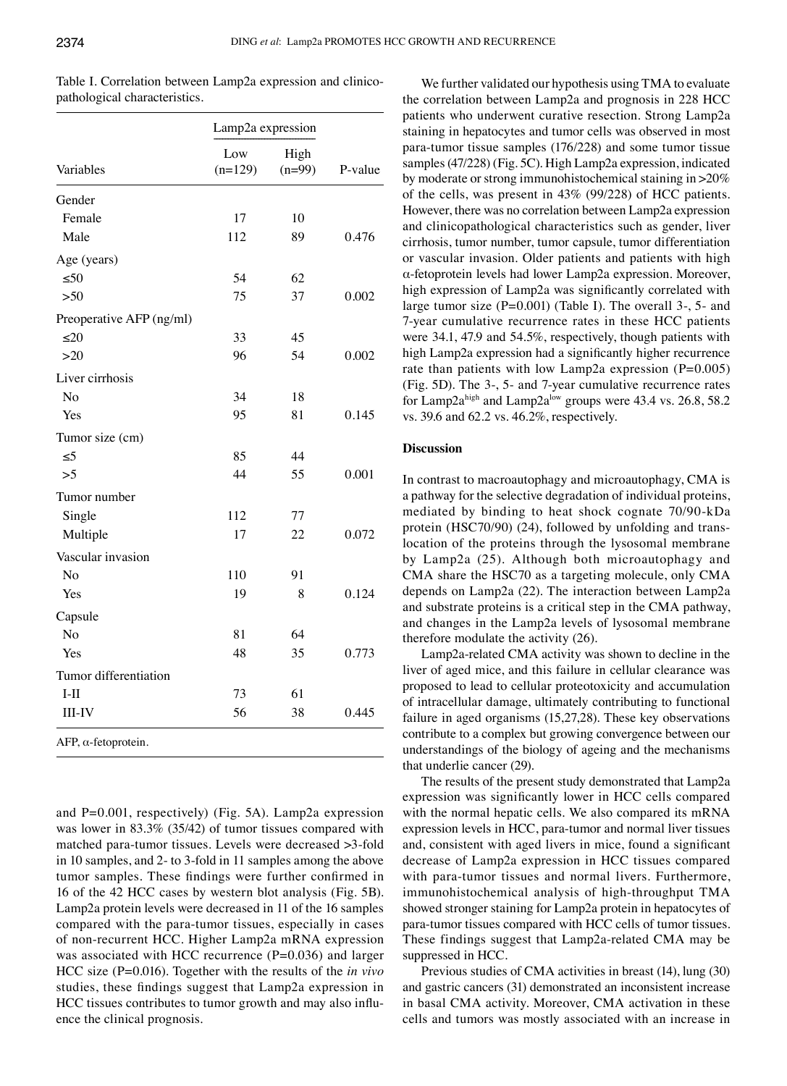| Variables                | Lamp2a expression |                  |         |
|--------------------------|-------------------|------------------|---------|
|                          | Low<br>$(n=129)$  | High<br>$(n=99)$ | P-value |
| Gender                   |                   |                  |         |
| Female                   | 17                | 10               |         |
| Male                     | 112               | 89               | 0.476   |
| Age (years)              |                   |                  |         |
| $\leq 50$                | 54                | 62               |         |
| $>50$                    | 75                | 37               | 0.002   |
| Preoperative AFP (ng/ml) |                   |                  |         |
| $\leq 20$                | 33                | 45               |         |
| $>20$                    | 96                | 54               | 0.002   |
| Liver cirrhosis          |                   |                  |         |
| No                       | 34                | 18               |         |
| Yes                      | 95                | 81               | 0.145   |
| Tumor size (cm)          |                   |                  |         |
| $\leq$ 5                 | 85                | 44               |         |
| >5                       | 44                | 55               | 0.001   |
| Tumor number             |                   |                  |         |
| Single                   | 112               | 77               |         |
| Multiple                 | 17                | 22               | 0.072   |
| Vascular invasion        |                   |                  |         |
| No                       | 110               | 91               |         |
| Yes                      | 19                | 8                | 0.124   |
| Capsule                  |                   |                  |         |
| N <sub>o</sub>           | 81                | 64               |         |
| Yes                      | 48                | 35               | 0.773   |
| Tumor differentiation    |                   |                  |         |
| $I-II$                   | 73                | 61               |         |
| <b>III-IV</b>            | 56                | 38               | 0.445   |
| AFP, α-fetoprotein.      |                   |                  |         |

Table I. Correlation between Lamp2a expression and clinicopathological characteristics.

and P=0.001, respectively) (Fig. 5A). Lamp2a expression was lower in 83.3% (35/42) of tumor tissues compared with matched para-tumor tissues. Levels were decreased >3-fold in 10 samples, and 2- to 3-fold in 11 samples among the above tumor samples. These findings were further confirmed in 16 of the 42 HCC cases by western blot analysis (Fig. 5B). Lamp2a protein levels were decreased in 11 of the 16 samples compared with the para-tumor tissues, especially in cases of non-recurrent HCC. Higher Lamp2a mRNA expression was associated with HCC recurrence (P=0.036) and larger HCC size (P=0.016). Together with the results of the *in vivo* studies, these findings suggest that Lamp2a expression in HCC tissues contributes to tumor growth and may also influence the clinical prognosis.

We further validated our hypothesis using TMA to evaluate the correlation between Lamp2a and prognosis in 228 HCC patients who underwent curative resection. Strong Lamp2a staining in hepatocytes and tumor cells was observed in most para-tumor tissue samples (176/228) and some tumor tissue samples (47/228) (Fig. 5C). High Lamp2a expression, indicated by moderate or strong immunohistochemical staining in >20% of the cells, was present in 43% (99/228) of HCC patients. However, there was no correlation between Lamp2a expression and clinicopathological characteristics such as gender, liver cirrhosis, tumor number, tumor capsule, tumor differentiation or vascular invasion. Older patients and patients with high α-fetoprotein levels had lower Lamp2a expression. Moreover, high expression of Lamp2a was significantly correlated with large tumor size (P=0.001) (Table I). The overall 3-, 5- and 7-year cumulative recurrence rates in these HCC patients were 34.1, 47.9 and 54.5%, respectively, though patients with high Lamp2a expression had a significantly higher recurrence rate than patients with low Lamp2a expression  $(P=0.005)$ (Fig. 5D). The 3-, 5- and 7-year cumulative recurrence rates for Lamp2a<sup>high</sup> and Lamp2a<sup>low</sup> groups were 43.4 vs. 26.8, 58.2 vs. 39.6 and 62.2 vs. 46.2%, respectively.

### **Discussion**

In contrast to macroautophagy and microautophagy, CMA is a pathway for the selective degradation of individual proteins, mediated by binding to heat shock cognate 70/90-kDa protein (HSC70/90) (24), followed by unfolding and translocation of the proteins through the lysosomal membrane by Lamp2a (25). Although both microautophagy and CMA share the HSC70 as a targeting molecule, only CMA depends on Lamp2a (22). The interaction between Lamp2a and substrate proteins is a critical step in the CMA pathway, and changes in the Lamp2a levels of lysosomal membrane therefore modulate the activity (26).

Lamp2a-related CMA activity was shown to decline in the liver of aged mice, and this failure in cellular clearance was proposed to lead to cellular proteotoxicity and accumulation of intracellular damage, ultimately contributing to functional failure in aged organisms (15,27,28). These key observations contribute to a complex but growing convergence between our understandings of the biology of ageing and the mechanisms that underlie cancer (29).

The results of the present study demonstrated that Lamp2a expression was significantly lower in HCC cells compared with the normal hepatic cells. We also compared its mRNA expression levels in HCC, para-tumor and normal liver tissues and, consistent with aged livers in mice, found a significant decrease of Lamp2a expression in HCC tissues compared with para-tumor tissues and normal livers. Furthermore, immunohistochemical analysis of high-throughput TMA showed stronger staining for Lamp2a protein in hepatocytes of para-tumor tissues compared with HCC cells of tumor tissues. These findings suggest that Lamp2a-related CMA may be suppressed in HCC.

Previous studies of CMA activities in breast (14), lung (30) and gastric cancers (31) demonstrated an inconsistent increase in basal CMA activity. Moreover, CMA activation in these cells and tumors was mostly associated with an increase in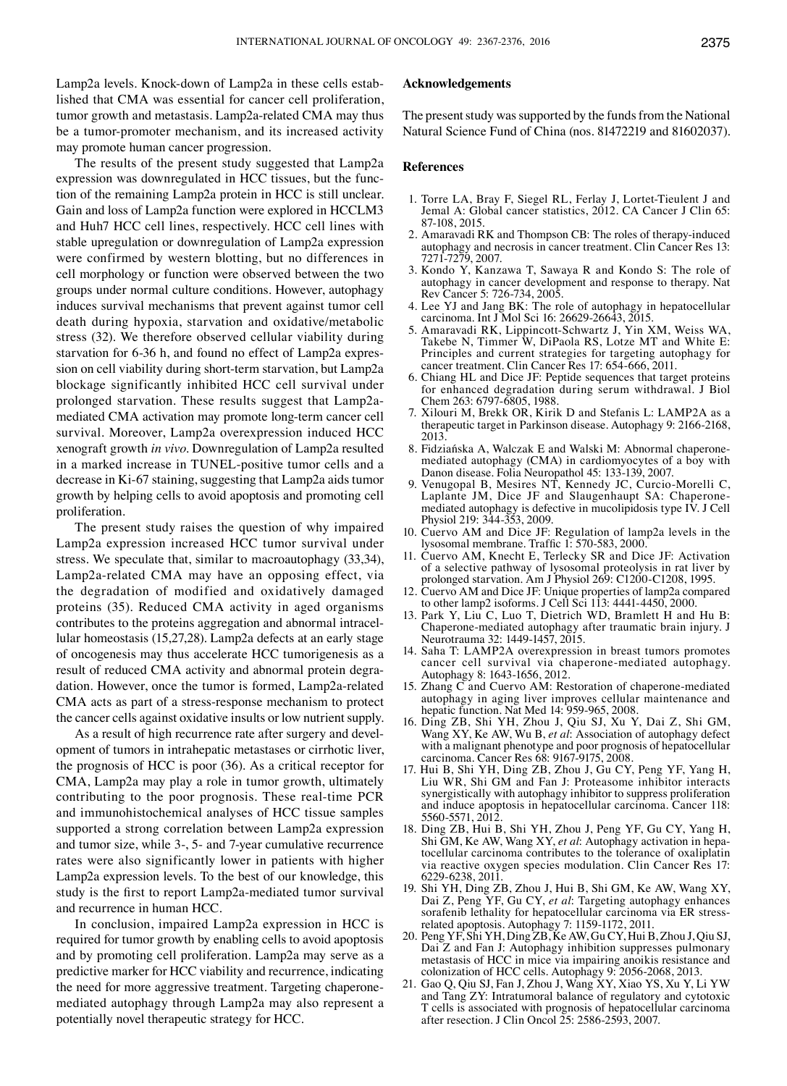Lamp2a levels. Knock-down of Lamp2a in these cells established that CMA was essential for cancer cell proliferation, tumor growth and metastasis. Lamp2a-related CMA may thus be a tumor-promoter mechanism, and its increased activity may promote human cancer progression.

The results of the present study suggested that Lamp2a expression was downregulated in HCC tissues, but the function of the remaining Lamp2a protein in HCC is still unclear. Gain and loss of Lamp2a function were explored in HCCLM3 and Huh7 HCC cell lines, respectively. HCC cell lines with stable upregulation or downregulation of Lamp2a expression were confirmed by western blotting, but no differences in cell morphology or function were observed between the two groups under normal culture conditions. However, autophagy induces survival mechanisms that prevent against tumor cell death during hypoxia, starvation and oxidative/metabolic stress (32). We therefore observed cellular viability during starvation for 6-36 h, and found no effect of Lamp2a expression on cell viability during short-term starvation, but Lamp2a blockage significantly inhibited HCC cell survival under prolonged starvation. These results suggest that Lamp2amediated CMA activation may promote long-term cancer cell survival. Moreover, Lamp2a overexpression induced HCC xenograft growth *in vivo*. Downregulation of Lamp2a resulted in a marked increase in TUNEL-positive tumor cells and a decrease in Ki-67 staining, suggesting that Lamp2a aids tumor growth by helping cells to avoid apoptosis and promoting cell proliferation.

The present study raises the question of why impaired Lamp2a expression increased HCC tumor survival under stress. We speculate that, similar to macroautophagy (33,34), Lamp2a-related CMA may have an opposing effect, via the degradation of modified and oxidatively damaged proteins (35). Reduced CMA activity in aged organisms contributes to the proteins aggregation and abnormal intracellular homeostasis (15,27,28). Lamp2a defects at an early stage of oncogenesis may thus accelerate HCC tumorigenesis as a result of reduced CMA activity and abnormal protein degradation. However, once the tumor is formed, Lamp2a-related CMA acts as part of a stress-response mechanism to protect the cancer cells against oxidative insults or low nutrient supply.

As a result of high recurrence rate after surgery and development of tumors in intrahepatic metastases or cirrhotic liver, the prognosis of HCC is poor (36). As a critical receptor for CMA, Lamp2a may play a role in tumor growth, ultimately contributing to the poor prognosis. These real-time PCR and immunohistochemical analyses of HCC tissue samples supported a strong correlation between Lamp2a expression and tumor size, while 3-, 5- and 7-year cumulative recurrence rates were also significantly lower in patients with higher Lamp2a expression levels. To the best of our knowledge, this study is the first to report Lamp2a-mediated tumor survival and recurrence in human HCC.

In conclusion, impaired Lamp2a expression in HCC is required for tumor growth by enabling cells to avoid apoptosis and by promoting cell proliferation. Lamp2a may serve as a predictive marker for HCC viability and recurrence, indicating the need for more aggressive treatment. Targeting chaperonemediated autophagy through Lamp2a may also represent a potentially novel therapeutic strategy for HCC.

## **Acknowledgements**

The present study was supported by the funds from the National Natural Science Fund of China (nos. 81472219 and 81602037).

#### **References**

- 1. Torre LA, Bray F, Siegel RL, Ferlay J, Lortet-Tieulent J and Jemal A: Global cancer statistics, 2012. CA Cancer J Clin 65: 87-108, 2015.
- 2. Amaravadi RK and Thompson CB: The roles of therapy-induced autophagy and necrosis in cancer treatment. Clin Cancer Res 13: 7271-7279, 2007.
- 3. Kondo Y, Kanzawa T, Sawaya R and Kondo S: The role of autophagy in cancer development and response to therapy. Nat Rev Cancer 5: 726-734, 2005.
- 4. Lee YJ and Jang BK: The role of autophagy in hepatocellular carcinoma. Int J Mol Sci 16: 26629-26643, 2015.
- 5. Amaravadi RK, Lippincott-Schwartz J, Yin XM, Weiss WA, Takebe N, Timmer W, DiPaola RS, Lotze MT and White E: Principles and current strategies for targeting autophagy for cancer treatment. Clin Cancer Res 17: 654-666, 2011.
- 6. Chiang HL and Dice JF: Peptide sequences that target proteins for enhanced degradation during serum withdrawal. J Biol Chem 263: 6797-6805, 1988.
- 7. Xilouri M, Brekk OR, Kirik D and Stefanis L: LAMP2A as a therapeutic target in Parkinson disease. Autophagy 9: 2166-2168, 2013.
- 8. Fidziańska A, Walczak E and Walski M: Abnormal chaperonemediated autophagy (CMA) in cardiomyocytes of a boy with Danon disease. Folia Neuropathol 45: 133-139, 2007.
- 9. Venugopal B, Mesires NT, Kennedy JC, Curcio-Morelli C, Laplante JM, Dice JF and Slaugenhaupt SA: Chaperonemediated autophagy is defective in mucolipidosis type IV. J Cell Physiol 219: 344-353, 2009.
- 10. Cuervo AM and Dice JF: Regulation of lamp2a levels in the lysosomal membrane. Traffic 1: 570-583, 2000.
- 11. Cuervo AM, Knecht E, Terlecky SR and Dice JF: Activation of a selective pathway of lysosomal proteolysis in rat liver by prolonged starvation. Am J Physiol 269: C1200-C1208, 1995.
- 12. Cuervo AM and Dice JF: Unique properties of lamp2a compared to other lamp2 isoforms. J Cell Sci 113: 4441-4450, 2000.
- 13. Park Y, Liu C, Luo T, Dietrich WD, Bramlett H and Hu B: Chaperone-mediated autophagy after traumatic brain injury. J Neurotrauma 32: 1449-1457, 2015.
- 14. Saha T: LAMP2A overexpression in breast tumors promotes cancer cell survival via chaperone-mediated autophagy. Autophagy 8: 1643-1656, 2012.
- 15. Zhang C and Cuervo AM: Restoration of chaperone-mediated autophagy in aging liver improves cellular maintenance and hepatic function. Nat Med 14: 959-965, 2008.
- 16. Ding ZB, Shi YH, Zhou J, Qiu SJ, Xu Y, Dai Z, Shi GM, Wang XY, Ke AW, Wu B, *et al*: Association of autophagy defect with a malignant phenotype and poor prognosis of hepatocellular carcinoma. Cancer Res 68: 9167-9175, 2008.
- 17. Hui B, Shi YH, Ding ZB, Zhou J, Gu CY, Peng YF, Yang H, Liu WR, Shi GM and Fan J: Proteasome inhibitor interacts synergistically with autophagy inhibitor to suppress proliferation and induce apoptosis in hepatocellular carcinoma. Cancer 118: 5560-5571, 2012.
- 18. Ding ZB, Hui B, Shi YH, Zhou J, Peng YF, Gu CY, Yang H, Shi GM, Ke AW, Wang XY, *et al*: Autophagy activation in hepatocellular carcinoma contributes to the tolerance of oxaliplatin via reactive oxygen species modulation. Clin Cancer Res 17: 6229-6238, 2011.
- 19. Shi YH, Ding ZB, Zhou J, Hui B, Shi GM, Ke AW, Wang XY, Dai Z, Peng YF, Gu CY, *et al*: Targeting autophagy enhances sorafenib lethality for hepatocellular carcinoma via ER stressrelated apoptosis. Autophagy 7: 1159-1172, 2011.
- 20. Peng YF, Shi YH, Ding ZB, Ke AW, Gu CY, Hui B, Zhou J, Qiu SJ, Dai Z and Fan J: Autophagy inhibition suppresses pulmonary metastasis of HCC in mice via impairing anoikis resistance and colonization of HCC cells. Autophagy 9: 2056-2068, 2013.
- 21. Gao Q, Qiu SJ, Fan J, Zhou J, Wang XY, Xiao YS, Xu Y, Li YW and Tang ZY: Intratumoral balance of regulatory and cytotoxic T cells is associated with prognosis of hepatocellular carcinoma after resection. J Clin Oncol 25: 2586-2593, 2007.